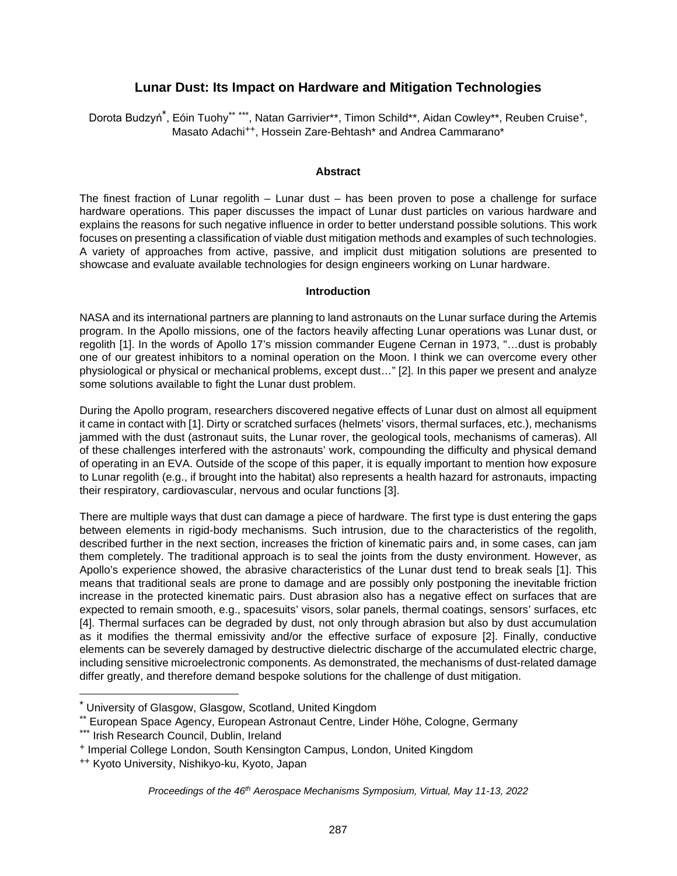# <span id="page-0-1"></span><span id="page-0-0"></span>**Lunar Dust: Its Impact on Hardware and Mitigation Technologies**

Dorota Budzyń<sup>[\\*](#page-0-2)</sup>, Eóin Tuohy[\\*\\*](#page-0-3) [\\*\\*\\*](#page-0-4), Natan Garrivie[r\\*\\*](#page-0-0), Timon Schil[d\\*\\*](#page-0-0), Aidan Cowley[\\*\\*,](#page-0-0) Reuben Cruise[+](#page-0-5), Masato Adachi[++](#page-0-6), Hossein Zare-Behtas[h\\*](#page-0-1) and Andrea Cammaran[o\\*](#page-0-1)

### **Abstract**

The finest fraction of Lunar regolith – Lunar dust – has been proven to pose a challenge for surface hardware operations. This paper discusses the impact of Lunar dust particles on various hardware and explains the reasons for such negative influence in order to better understand possible solutions. This work focuses on presenting a classification of viable dust mitigation methods and examples of such technologies. A variety of approaches from active, passive, and implicit dust mitigation solutions are presented to showcase and evaluate available technologies for design engineers working on Lunar hardware.

### **Introduction**

NASA and its international partners are planning to land astronauts on the Lunar surface during the Artemis program. In the Apollo missions, one of the factors heavily affecting Lunar operations was Lunar dust, or regolith [1]. In the words of Apollo 17's mission commander Eugene Cernan in 1973, "…dust is probably one of our greatest inhibitors to a nominal operation on the Moon. I think we can overcome every other physiological or physical or mechanical problems, except dust…" [2]. In this paper we present and analyze some solutions available to fight the Lunar dust problem.

During the Apollo program, researchers discovered negative effects of Lunar dust on almost all equipment it came in contact with [1]. Dirty or scratched surfaces (helmets' visors, thermal surfaces, etc.), mechanisms jammed with the dust (astronaut suits, the Lunar rover, the geological tools, mechanisms of cameras). All of these challenges interfered with the astronauts' work, compounding the difficulty and physical demand of operating in an EVA. Outside of the scope of this paper, it is equally important to mention how exposure to Lunar regolith (e.g., if brought into the habitat) also represents a health hazard for astronauts, impacting their respiratory, cardiovascular, nervous and ocular functions [3].

There are multiple ways that dust can damage a piece of hardware. The first type is dust entering the gaps between elements in rigid-body mechanisms. Such intrusion, due to the characteristics of the regolith, described further in the next section, increases the friction of kinematic pairs and, in some cases, can jam them completely. The traditional approach is to seal the joints from the dusty environment. However, as Apollo's experience showed, the abrasive characteristics of the Lunar dust tend to break seals [1]. This means that traditional seals are prone to damage and are possibly only postponing the inevitable friction increase in the protected kinematic pairs. Dust abrasion also has a negative effect on surfaces that are expected to remain smooth, e.g., spacesuits' visors, solar panels, thermal coatings, sensors' surfaces, etc [4]. Thermal surfaces can be degraded by dust, not only through abrasion but also by dust accumulation as it modifies the thermal emissivity and/or the effective surface of exposure [2]. Finally, conductive elements can be severely damaged by destructive dielectric discharge of the accumulated electric charge, including sensitive microelectronic components. As demonstrated, the mechanisms of dust-related damage differ greatly, and therefore demand bespoke solutions for the challenge of dust mitigation.

<span id="page-0-3"></span><span id="page-0-2"></span><sup>\*</sup> University of Glasgow, Glasgow, Scotland, United Kingdom

<sup>\*\*</sup> European Space Agency, European Astronaut Centre, Linder Höhe, Cologne, Germany

<span id="page-0-5"></span><span id="page-0-4"></span><sup>\*\*\*</sup> Irish Research Council, Dublin, Ireland

<span id="page-0-6"></span><sup>+</sup> Imperial College London, South Kensington Campus, London, United Kingdom

<sup>++</sup> Kyoto University, Nishikyo-ku, Kyoto, Japan

*Proceedings of the 46th Aerospace Mechanisms Symposium, Virtual, May 11-13, 2022*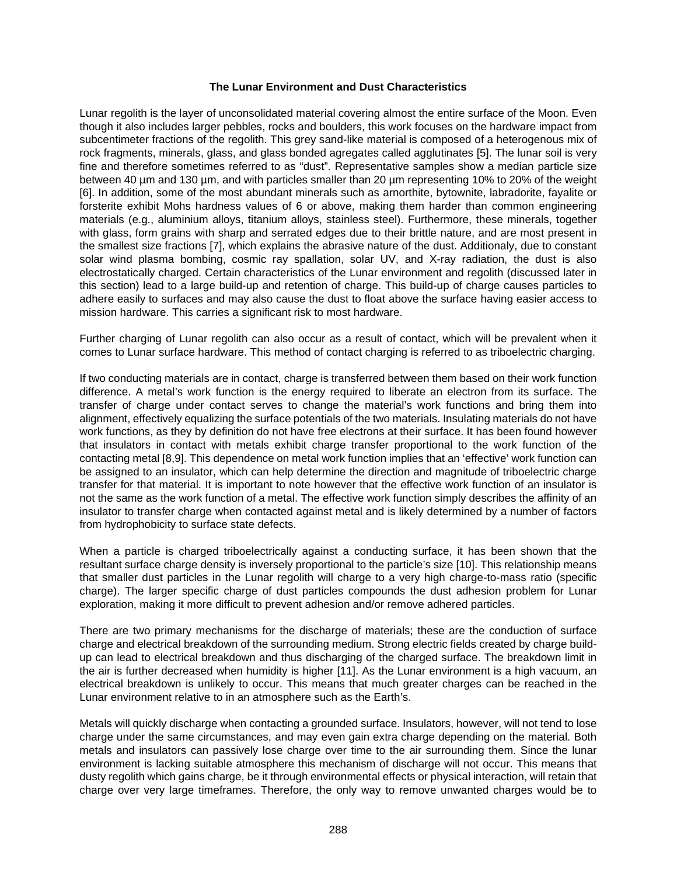## **The Lunar Environment and Dust Characteristics**

Lunar regolith is the layer of unconsolidated material covering almost the entire surface of the Moon. Even though it also includes larger pebbles, rocks and boulders, this work focuses on the hardware impact from subcentimeter fractions of the regolith. This grey sand-like material is composed of a heterogenous mix of rock fragments, minerals, glass, and glass bonded agregates called agglutinates [5]. The lunar soil is very fine and therefore sometimes referred to as "dust". Representative samples show a median particle size between 40 µm and 130 µm, and with particles smaller than 20 µm representing 10% to 20% of the weight [6]. In addition, some of the most abundant minerals such as arnorthite, bytownite, labradorite, fayalite or forsterite exhibit Mohs hardness values of 6 or above, making them harder than common engineering materials (e.g., aluminium alloys, titanium alloys, stainless steel). Furthermore, these minerals, together with glass, form grains with sharp and serrated edges due to their brittle nature, and are most present in the smallest size fractions [7], which explains the abrasive nature of the dust. Additionaly, due to constant solar wind plasma bombing, cosmic ray spallation, solar UV, and X-ray radiation, the dust is also electrostatically charged. Certain characteristics of the Lunar environment and regolith (discussed later in this section) lead to a large build-up and retention of charge. This build-up of charge causes particles to adhere easily to surfaces and may also cause the dust to float above the surface having easier access to mission hardware. This carries a significant risk to most hardware.

Further charging of Lunar regolith can also occur as a result of contact, which will be prevalent when it comes to Lunar surface hardware. This method of contact charging is referred to as triboelectric charging.

If two conducting materials are in contact, charge is transferred between them based on their work function difference. A metal's work function is the energy required to liberate an electron from its surface. The transfer of charge under contact serves to change the material's work functions and bring them into alignment, effectively equalizing the surface potentials of the two materials. Insulating materials do not have work functions, as they by definition do not have free electrons at their surface. It has been found however that insulators in contact with metals exhibit charge transfer proportional to the work function of the contacting metal [8,9]. This dependence on metal work function implies that an 'effective' work function can be assigned to an insulator, which can help determine the direction and magnitude of triboelectric charge transfer for that material. It is important to note however that the effective work function of an insulator is not the same as the work function of a metal. The effective work function simply describes the affinity of an insulator to transfer charge when contacted against metal and is likely determined by a number of factors from hydrophobicity to surface state defects.

When a particle is charged triboelectrically against a conducting surface, it has been shown that the resultant surface charge density is inversely proportional to the particle's size [10]. This relationship means that smaller dust particles in the Lunar regolith will charge to a very high charge-to-mass ratio (specific charge). The larger specific charge of dust particles compounds the dust adhesion problem for Lunar exploration, making it more difficult to prevent adhesion and/or remove adhered particles.

There are two primary mechanisms for the discharge of materials; these are the conduction of surface charge and electrical breakdown of the surrounding medium. Strong electric fields created by charge buildup can lead to electrical breakdown and thus discharging of the charged surface. The breakdown limit in the air is further decreased when humidity is higher [11]. As the Lunar environment is a high vacuum, an electrical breakdown is unlikely to occur. This means that much greater charges can be reached in the Lunar environment relative to in an atmosphere such as the Earth's.

Metals will quickly discharge when contacting a grounded surface. Insulators, however, will not tend to lose charge under the same circumstances, and may even gain extra charge depending on the material. Both metals and insulators can passively lose charge over time to the air surrounding them. Since the lunar environment is lacking suitable atmosphere this mechanism of discharge will not occur. This means that dusty regolith which gains charge, be it through environmental effects or physical interaction, will retain that charge over very large timeframes. Therefore, the only way to remove unwanted charges would be to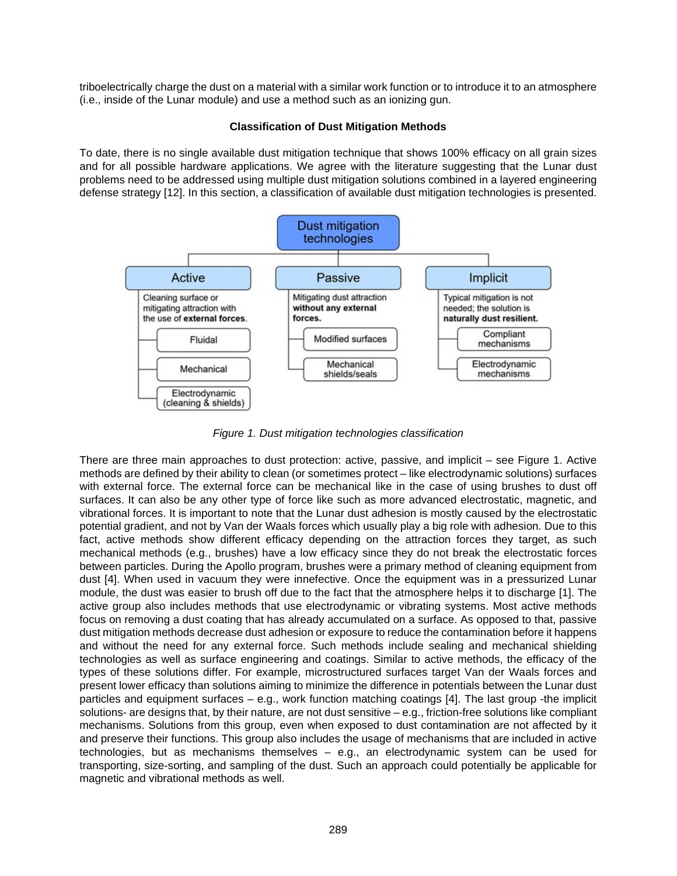triboelectrically charge the dust on a material with a similar work function or to introduce it to an atmosphere (i.e., inside of the Lunar module) and use a method such as an ionizing gun.

## **Classification of Dust Mitigation Methods**

To date, there is no single available dust mitigation technique that shows 100% efficacy on all grain sizes and for all possible hardware applications. We agree with the literature suggesting that the Lunar dust problems need to be addressed using multiple dust mitigation solutions combined in a layered engineering defense strategy [12]. In this section, a classification of available dust mitigation technologies is presented.



*Figure 1. Dust mitigation technologies classification* 

There are three main approaches to dust protection: active, passive, and implicit – see Figure 1. Active methods are defined by their ability to clean (or sometimes protect – like electrodynamic solutions) surfaces with external force. The external force can be mechanical like in the case of using brushes to dust off surfaces. It can also be any other type of force like such as more advanced electrostatic, magnetic, and vibrational forces. It is important to note that the Lunar dust adhesion is mostly caused by the electrostatic potential gradient, and not by Van der Waals forces which usually play a big role with adhesion. Due to this fact, active methods show different efficacy depending on the attraction forces they target, as such mechanical methods (e.g., brushes) have a low efficacy since they do not break the electrostatic forces between particles. During the Apollo program, brushes were a primary method of cleaning equipment from dust [4]. When used in vacuum they were innefective. Once the equipment was in a pressurized Lunar module, the dust was easier to brush off due to the fact that the atmosphere helps it to discharge [1]. The active group also includes methods that use electrodynamic or vibrating systems. Most active methods focus on removing a dust coating that has already accumulated on a surface. As opposed to that, passive dust mitigation methods decrease dust adhesion or exposure to reduce the contamination before it happens and without the need for any external force. Such methods include sealing and mechanical shielding technologies as well as surface engineering and coatings. Similar to active methods, the efficacy of the types of these solutions differ. For example, microstructured surfaces target Van der Waals forces and present lower efficacy than solutions aiming to minimize the difference in potentials between the Lunar dust particles and equipment surfaces – e.g., work function matching coatings [4]. The last group -the implicit solutions- are designs that, by their nature, are not dust sensitive – e.g., friction-free solutions like compliant mechanisms. Solutions from this group, even when exposed to dust contamination are not affected by it and preserve their functions. This group also includes the usage of mechanisms that are included in active technologies, but as mechanisms themselves – e.g., an electrodynamic system can be used for transporting, size-sorting, and sampling of the dust. Such an approach could potentially be applicable for magnetic and vibrational methods as well.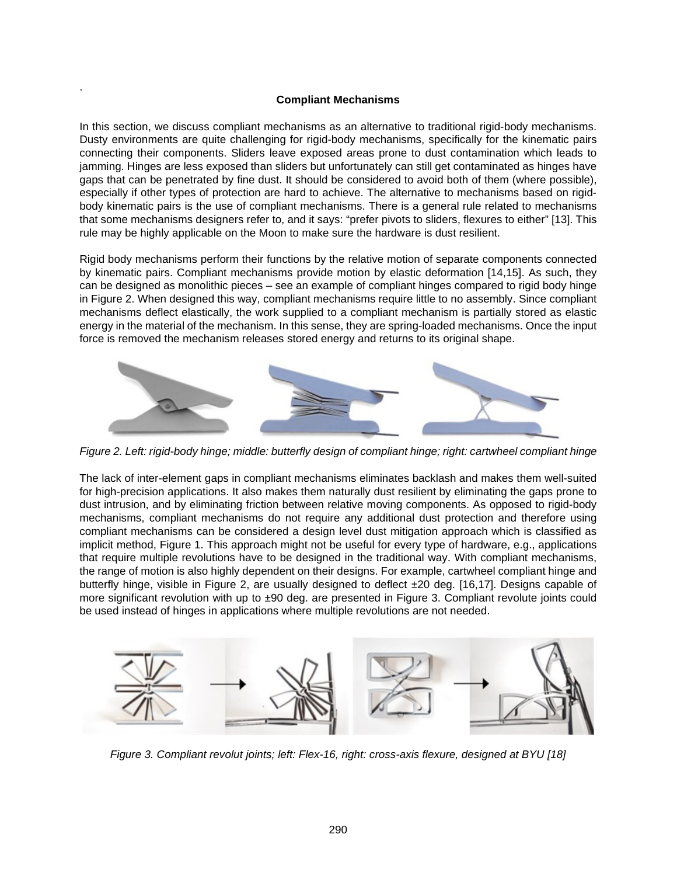## **Compliant Mechanisms**

.

In this section, we discuss compliant mechanisms as an alternative to traditional rigid-body mechanisms. Dusty environments are quite challenging for rigid-body mechanisms, specifically for the kinematic pairs connecting their components. Sliders leave exposed areas prone to dust contamination which leads to jamming. Hinges are less exposed than sliders but unfortunately can still get contaminated as hinges have gaps that can be penetrated by fine dust. It should be considered to avoid both of them (where possible), especially if other types of protection are hard to achieve. The alternative to mechanisms based on rigidbody kinematic pairs is the use of compliant mechanisms. There is a general rule related to mechanisms that some mechanisms designers refer to, and it says: "prefer pivots to sliders, flexures to either" [13]. This rule may be highly applicable on the Moon to make sure the hardware is dust resilient.

Rigid body mechanisms perform their functions by the relative motion of separate components connected by kinematic pairs. Compliant mechanisms provide motion by elastic deformation [14,15]. As such, they can be designed as monolithic pieces – see an example of compliant hinges compared to rigid body hinge in Figure 2. When designed this way, compliant mechanisms require little to no assembly. Since compliant mechanisms deflect elastically, the work supplied to a compliant mechanism is partially stored as elastic energy in the material of the mechanism. In this sense, they are spring-loaded mechanisms. Once the input force is removed the mechanism releases stored energy and returns to its original shape.



*Figure 2. Left: rigid-body hinge; middle: butterfly design of compliant hinge; right: cartwheel compliant hinge* 

The lack of inter-element gaps in compliant mechanisms eliminates backlash and makes them well-suited for high-precision applications. It also makes them naturally dust resilient by eliminating the gaps prone to dust intrusion, and by eliminating friction between relative moving components. As opposed to rigid-body mechanisms, compliant mechanisms do not require any additional dust protection and therefore using compliant mechanisms can be considered a design level dust mitigation approach which is classified as implicit method, Figure 1. This approach might not be useful for every type of hardware, e.g., applications that require multiple revolutions have to be designed in the traditional way. With compliant mechanisms, the range of motion is also highly dependent on their designs. For example, cartwheel compliant hinge and butterfly hinge, visible in Figure 2, are usually designed to deflect ±20 deg. [16,17]. Designs capable of more significant revolution with up to ±90 deg. are presented in Figure 3. Compliant revolute joints could be used instead of hinges in applications where multiple revolutions are not needed.



*Figure 3. Compliant revolut joints; left: Flex-16, right: cross-axis flexure, designed at BYU [18]*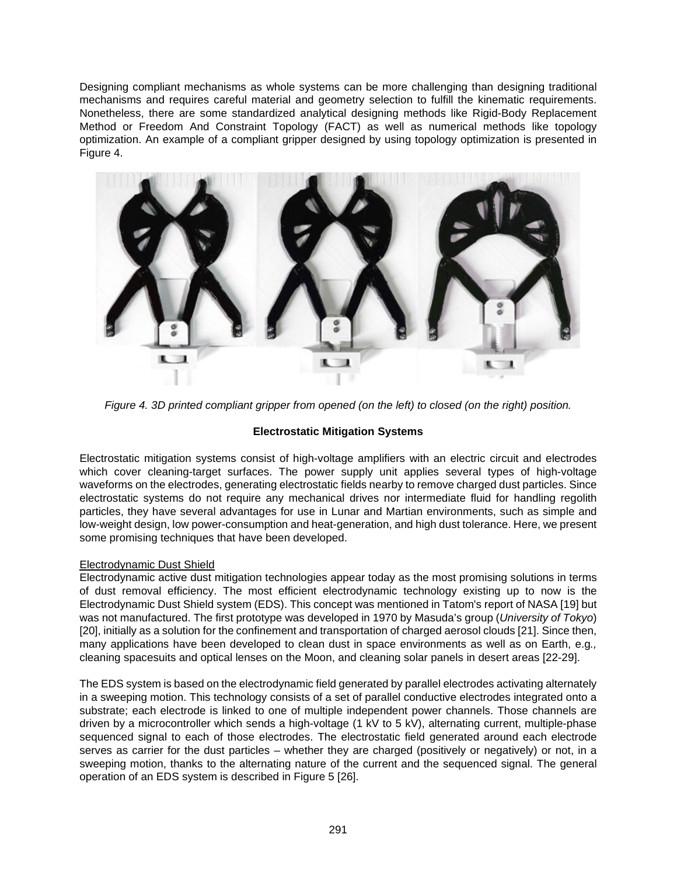Designing compliant mechanisms as whole systems can be more challenging than designing traditional mechanisms and requires careful material and geometry selection to fulfill the kinematic requirements. Nonetheless, there are some standardized analytical designing methods like Rigid-Body Replacement Method or Freedom And Constraint Topology (FACT) as well as numerical methods like topology optimization. An example of a compliant gripper designed by using topology optimization is presented in Figure 4.



*Figure 4. 3D printed compliant gripper from opened (on the left) to closed (on the right) position.* 

# **Electrostatic Mitigation Systems**

Electrostatic mitigation systems consist of high-voltage amplifiers with an electric circuit and electrodes which cover cleaning-target surfaces. The power supply unit applies several types of high-voltage waveforms on the electrodes, generating electrostatic fields nearby to remove charged dust particles. Since electrostatic systems do not require any mechanical drives nor intermediate fluid for handling regolith particles, they have several advantages for use in Lunar and Martian environments, such as simple and low-weight design, low power-consumption and heat-generation, and high dust tolerance. Here, we present some promising techniques that have been developed.

# Electrodynamic Dust Shield

Electrodynamic active dust mitigation technologies appear today as the most promising solutions in terms of dust removal efficiency. The most efficient electrodynamic technology existing up to now is the Electrodynamic Dust Shield system (EDS). This concept was mentioned in Tatom's report of NASA [19] but was not manufactured. The first prototype was developed in 1970 by Masuda's group (*University of Tokyo*) [20], initially as a solution for the confinement and transportation of charged aerosol clouds [21]. Since then, many applications have been developed to clean dust in space environments as well as on Earth, e.g*.,* cleaning spacesuits and optical lenses on the Moon, and cleaning solar panels in desert areas [22-29].

The EDS system is based on the electrodynamic field generated by parallel electrodes activating alternately in a sweeping motion. This technology consists of a set of parallel conductive electrodes integrated onto a substrate; each electrode is linked to one of multiple independent power channels. Those channels are driven by a microcontroller which sends a high-voltage (1 kV to 5 kV), alternating current, multiple-phase sequenced signal to each of those electrodes. The electrostatic field generated around each electrode serves as carrier for the dust particles – whether they are charged (positively or negatively) or not, in a sweeping motion, thanks to the alternating nature of the current and the sequenced signal. The general operation of an EDS system is described in Figure 5 [26].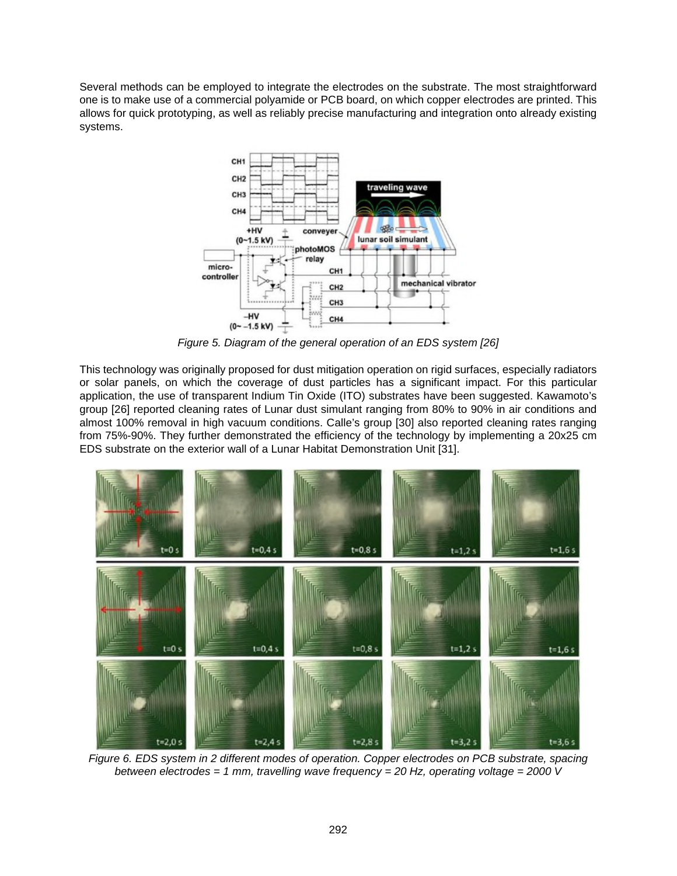Several methods can be employed to integrate the electrodes on the substrate. The most straightforward one is to make use of a commercial polyamide or PCB board, on which copper electrodes are printed. This allows for quick prototyping, as well as reliably precise manufacturing and integration onto already existing systems.



*Figure 5. Diagram of the general operation of an EDS system [26]*

This technology was originally proposed for dust mitigation operation on rigid surfaces, especially radiators or solar panels, on which the coverage of dust particles has a significant impact. For this particular application, the use of transparent Indium Tin Oxide (ITO) substrates have been suggested. Kawamoto's group [26] reported cleaning rates of Lunar dust simulant ranging from 80% to 90% in air conditions and almost 100% removal in high vacuum conditions. Calle's group [30] also reported cleaning rates ranging from 75%-90%. They further demonstrated the efficiency of the technology by implementing a 20x25 cm EDS substrate on the exterior wall of a Lunar Habitat Demonstration Unit [31].



*Figure 6. EDS system in 2 different modes of operation. Copper electrodes on PCB substrate, spacing between electrodes = 1 mm, travelling wave frequency = 20 Hz, operating voltage = 2000 V*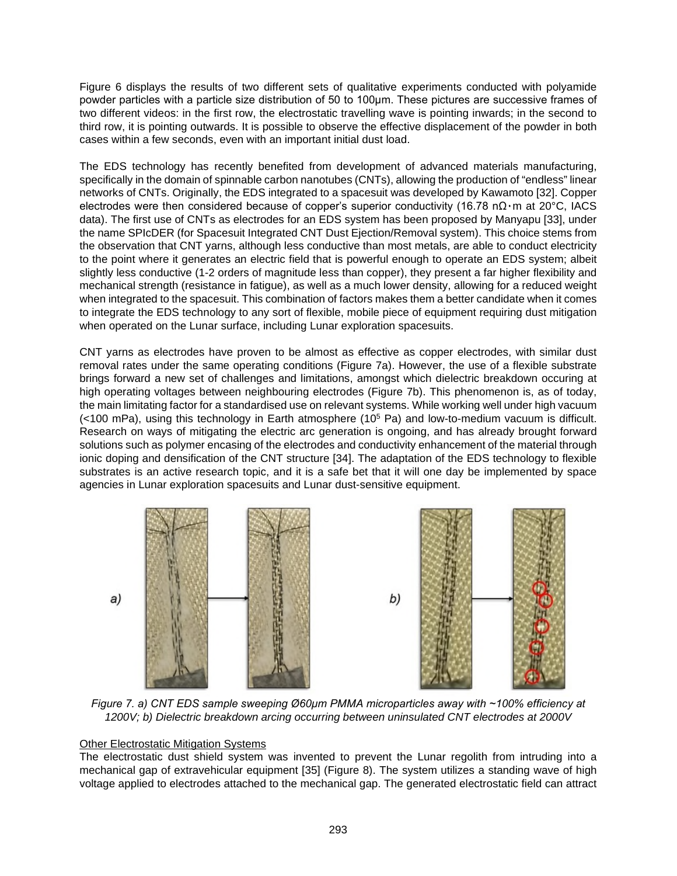Figure 6 displays the results of two different sets of qualitative experiments conducted with polyamide powder particles with a particle size distribution of 50 to 100μm. These pictures are successive frames of two different videos: in the first row, the electrostatic travelling wave is pointing inwards; in the second to third row, it is pointing outwards. It is possible to observe the effective displacement of the powder in both cases within a few seconds, even with an important initial dust load.

The EDS technology has recently benefited from development of advanced materials manufacturing, specifically in the domain of spinnable carbon nanotubes (CNTs), allowing the production of "endless" linear networks of CNTs. Originally, the EDS integrated to a spacesuit was developed by Kawamoto [32]. Copper electrodes were then considered because of copper's superior conductivity (16.78 nΩ٠m at 20°C, IACS data). The first use of CNTs as electrodes for an EDS system has been proposed by Manyapu [33], under the name SPIcDER (for Spacesuit Integrated CNT Dust Ejection/Removal system). This choice stems from the observation that CNT yarns, although less conductive than most metals, are able to conduct electricity to the point where it generates an electric field that is powerful enough to operate an EDS system; albeit slightly less conductive (1-2 orders of magnitude less than copper), they present a far higher flexibility and mechanical strength (resistance in fatigue), as well as a much lower density, allowing for a reduced weight when integrated to the spacesuit. This combination of factors makes them a better candidate when it comes to integrate the EDS technology to any sort of flexible, mobile piece of equipment requiring dust mitigation when operated on the Lunar surface, including Lunar exploration spacesuits.

CNT yarns as electrodes have proven to be almost as effective as copper electrodes, with similar dust removal rates under the same operating conditions (Figure 7a). However, the use of a flexible substrate brings forward a new set of challenges and limitations, amongst which dielectric breakdown occuring at high operating voltages between neighbouring electrodes (Figure 7b). This phenomenon is, as of today, the main limitating factor for a standardised use on relevant systems. While working well under high vacuum (<100 mPa), using this technology in Earth atmosphere (10<sup>5</sup> Pa) and low-to-medium vacuum is difficult. Research on ways of mitigating the electric arc generation is ongoing, and has already brought forward solutions such as polymer encasing of the electrodes and conductivity enhancement of the material through ionic doping and densification of the CNT structure [34]. The adaptation of the EDS technology to flexible substrates is an active research topic, and it is a safe bet that it will one day be implemented by space agencies in Lunar exploration spacesuits and Lunar dust-sensitive equipment.



*Figure 7. a) CNT EDS sample sweeping Ø60μm PMMA microparticles away with ~100% efficiency at 1200V; b) Dielectric breakdown arcing occurring between uninsulated CNT electrodes at 2000V* 

### Other Electrostatic Mitigation Systems

The electrostatic dust shield system was invented to prevent the Lunar regolith from intruding into a mechanical gap of extravehicular equipment [35] (Figure 8). The system utilizes a standing wave of high voltage applied to electrodes attached to the mechanical gap. The generated electrostatic field can attract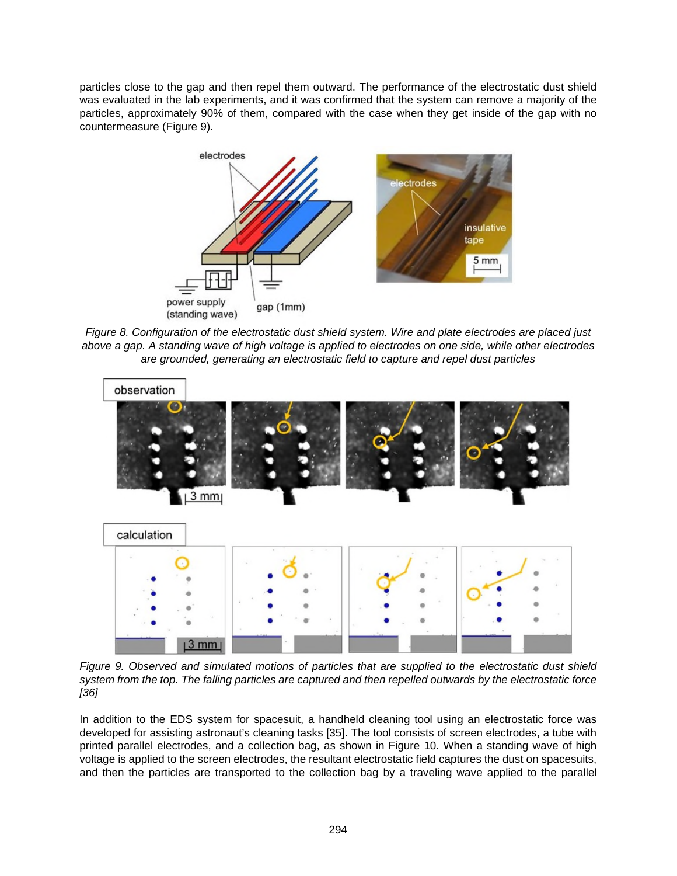particles close to the gap and then repel them outward. The performance of the electrostatic dust shield was evaluated in the lab experiments, and it was confirmed that the system can remove a majority of the particles, approximately 90% of them, compared with the case when they get inside of the gap with no countermeasure (Figure 9).



*Figure 8. Configuration of the electrostatic dust shield system. Wire and plate electrodes are placed just above a gap. A standing wave of high voltage is applied to electrodes on one side, while other electrodes are grounded, generating an electrostatic field to capture and repel dust particles*



*Figure 9. Observed and simulated motions of particles that are supplied to the electrostatic dust shield system from the top. The falling particles are captured and then repelled outwards by the electrostatic force [36]* 

In addition to the EDS system for spacesuit, a handheld cleaning tool using an electrostatic force was developed for assisting astronaut's cleaning tasks [35]. The tool consists of screen electrodes, a tube with printed parallel electrodes, and a collection bag, as shown in Figure 10. When a standing wave of high voltage is applied to the screen electrodes, the resultant electrostatic field captures the dust on spacesuits, and then the particles are transported to the collection bag by a traveling wave applied to the parallel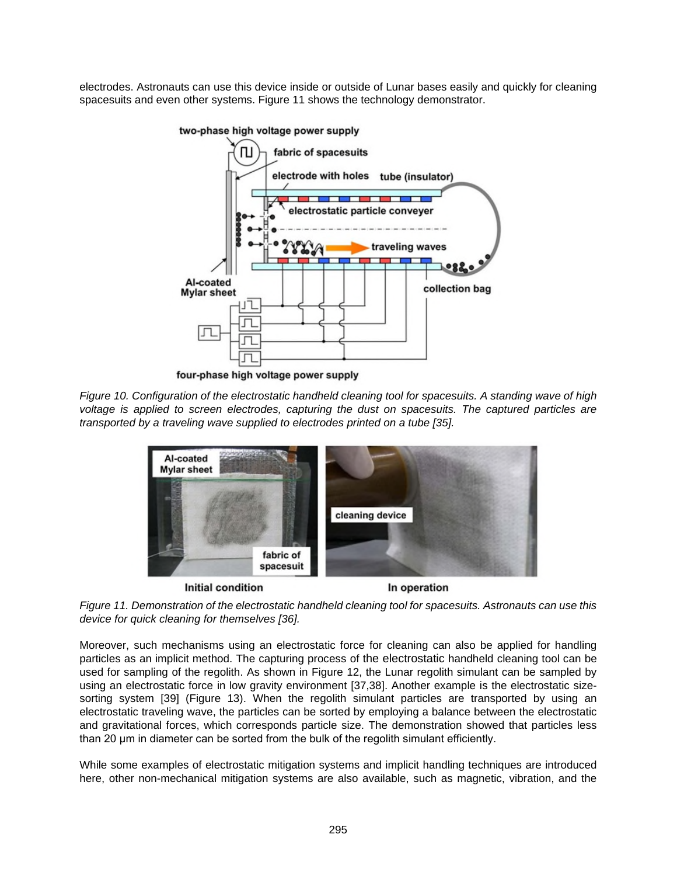electrodes. Astronauts can use this device inside or outside of Lunar bases easily and quickly for cleaning spacesuits and even other systems. Figure 11 shows the technology demonstrator.



two-phase high voltage power supply

four-phase high voltage power supply

*Figure 10. Configuration of the electrostatic handheld cleaning tool for spacesuits. A standing wave of high voltage is applied to screen electrodes, capturing the dust on spacesuits. The captured particles are transported by a traveling wave supplied to electrodes printed on a tube [35].* 



**Initial condition** 

In operation

*Figure 11. Demonstration of the electrostatic handheld cleaning tool for spacesuits. Astronauts can use this device for quick cleaning for themselves [36].* 

Moreover, such mechanisms using an electrostatic force for cleaning can also be applied for handling particles as an implicit method. The capturing process of the electrostatic handheld cleaning tool can be used for sampling of the regolith. As shown in Figure 12, the Lunar regolith simulant can be sampled by using an electrostatic force in low gravity environment [37,38]. Another example is the electrostatic sizesorting system [39] (Figure 13). When the regolith simulant particles are transported by using an electrostatic traveling wave, the particles can be sorted by employing a balance between the electrostatic and gravitational forces, which corresponds particle size. The demonstration showed that particles less than 20 μm in diameter can be sorted from the bulk of the regolith simulant efficiently.

While some examples of electrostatic mitigation systems and implicit handling techniques are introduced here, other non-mechanical mitigation systems are also available, such as magnetic, vibration, and the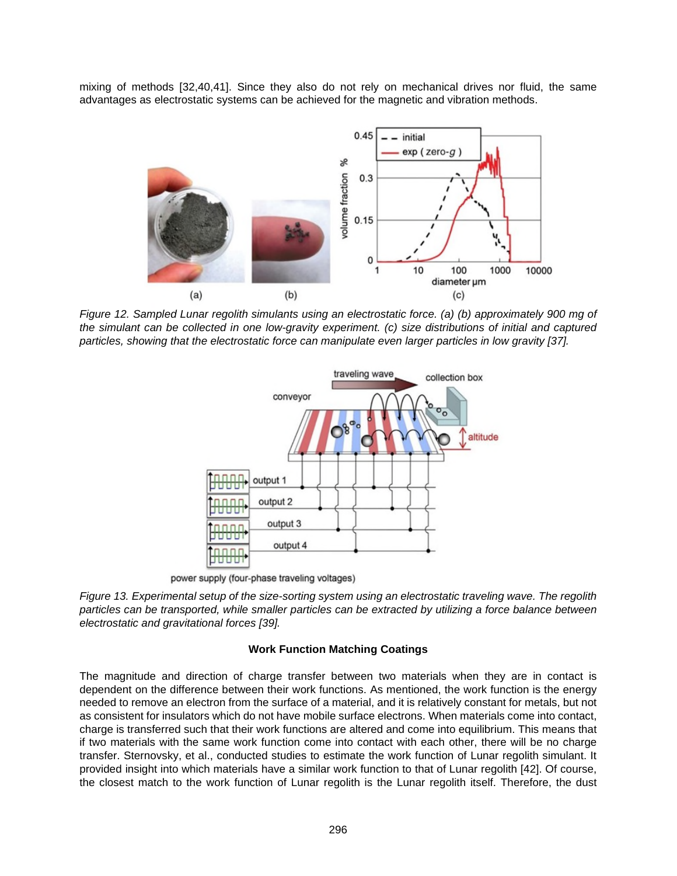mixing of methods [32,40,41]. Since they also do not rely on mechanical drives nor fluid, the same advantages as electrostatic systems can be achieved for the magnetic and vibration methods.



*Figure 12. Sampled Lunar regolith simulants using an electrostatic force. (a) (b) approximately 900 mg of the simulant can be collected in one low-gravity experiment. (c) size distributions of initial and captured particles, showing that the electrostatic force can manipulate even larger particles in low gravity [37].* 



power supply (four-phase traveling voltages)

*Figure 13. Experimental setup of the size-sorting system using an electrostatic traveling wave. The regolith particles can be transported, while smaller particles can be extracted by utilizing a force balance between electrostatic and gravitational forces [39].* 

### **Work Function Matching Coatings**

The magnitude and direction of charge transfer between two materials when they are in contact is dependent on the difference between their work functions. As mentioned, the work function is the energy needed to remove an electron from the surface of a material, and it is relatively constant for metals, but not as consistent for insulators which do not have mobile surface electrons. When materials come into contact, charge is transferred such that their work functions are altered and come into equilibrium. This means that if two materials with the same work function come into contact with each other, there will be no charge transfer. Sternovsky, et al., conducted studies to estimate the work function of Lunar regolith simulant. It provided insight into which materials have a similar work function to that of Lunar regolith [42]. Of course, the closest match to the work function of Lunar regolith is the Lunar regolith itself. Therefore, the dust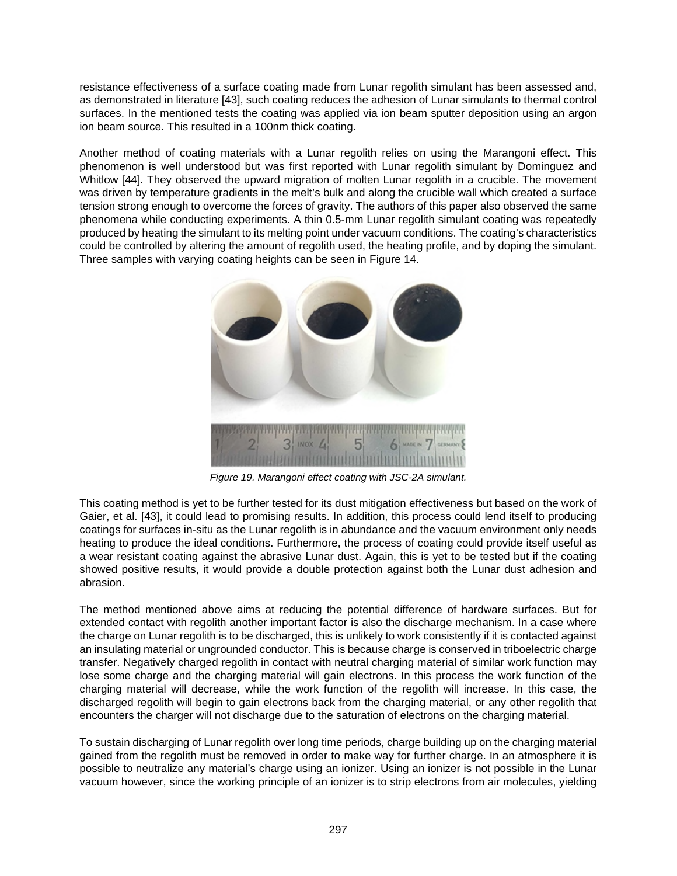resistance effectiveness of a surface coating made from Lunar regolith simulant has been assessed and, as demonstrated in literature [43], such coating reduces the adhesion of Lunar simulants to thermal control surfaces. In the mentioned tests the coating was applied via ion beam sputter deposition using an argon ion beam source. This resulted in a 100nm thick coating.

Another method of coating materials with a Lunar regolith relies on using the Marangoni effect. This phenomenon is well understood but was first reported with Lunar regolith simulant by Dominguez and Whitlow [44]. They observed the upward migration of molten Lunar regolith in a crucible. The movement was driven by temperature gradients in the melt's bulk and along the crucible wall which created a surface tension strong enough to overcome the forces of gravity. The authors of this paper also observed the same phenomena while conducting experiments. A thin 0.5-mm Lunar regolith simulant coating was repeatedly produced by heating the simulant to its melting point under vacuum conditions. The coating's characteristics could be controlled by altering the amount of regolith used, the heating profile, and by doping the simulant. Three samples with varying coating heights can be seen in Figure 14.



*Figure 19. Marangoni effect coating with JSC-2A simulant.* 

This coating method is yet to be further tested for its dust mitigation effectiveness but based on the work of Gaier, et al. [43], it could lead to promising results. In addition, this process could lend itself to producing coatings for surfaces in-situ as the Lunar regolith is in abundance and the vacuum environment only needs heating to produce the ideal conditions. Furthermore, the process of coating could provide itself useful as a wear resistant coating against the abrasive Lunar dust. Again, this is yet to be tested but if the coating showed positive results, it would provide a double protection against both the Lunar dust adhesion and abrasion.

The method mentioned above aims at reducing the potential difference of hardware surfaces. But for extended contact with regolith another important factor is also the discharge mechanism. In a case where the charge on Lunar regolith is to be discharged, this is unlikely to work consistently if it is contacted against an insulating material or ungrounded conductor. This is because charge is conserved in triboelectric charge transfer. Negatively charged regolith in contact with neutral charging material of similar work function may lose some charge and the charging material will gain electrons. In this process the work function of the charging material will decrease, while the work function of the regolith will increase. In this case, the discharged regolith will begin to gain electrons back from the charging material, or any other regolith that encounters the charger will not discharge due to the saturation of electrons on the charging material.

To sustain discharging of Lunar regolith over long time periods, charge building up on the charging material gained from the regolith must be removed in order to make way for further charge. In an atmosphere it is possible to neutralize any material's charge using an ionizer. Using an ionizer is not possible in the Lunar vacuum however, since the working principle of an ionizer is to strip electrons from air molecules, yielding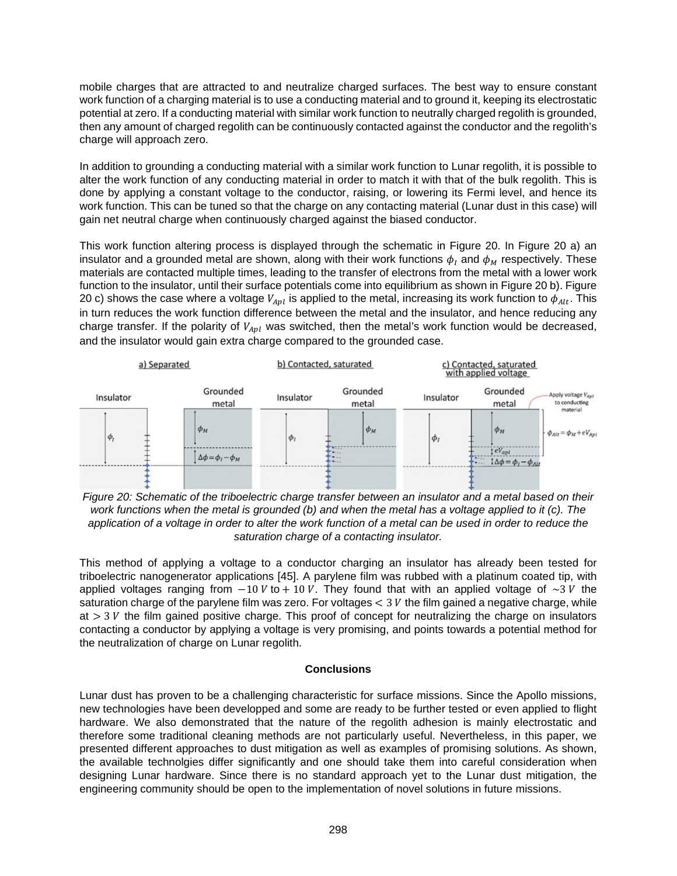mobile charges that are attracted to and neutralize charged surfaces. The best way to ensure constant work function of a charging material is to use a conducting material and to ground it, keeping its electrostatic potential at zero. If a conducting material with similar work function to neutrally charged regolith is grounded, then any amount of charged regolith can be continuously contacted against the conductor and the regolith's charge will approach zero.

In addition to grounding a conducting material with a similar work function to Lunar regolith, it is possible to alter the work function of any conducting material in order to match it with that of the bulk regolith. This is done by applying a constant voltage to the conductor, raising, or lowering its Fermi level, and hence its work function. This can be tuned so that the charge on any contacting material (Lunar dust in this case) will gain net neutral charge when continuously charged against the biased conductor.

[This work function altering process is displayed through the schematic in Figure 20. In Figure 20 a\) an](#page-11-0)  insulator and a grounded metal are shown, along with their work functions  $\phi_I$  and  $\phi_M$  respectively. These materials are contacted multiple times, leading to the transfer of electrons from the metal with a lower work function to the insulator, until their surface potentials come into equilibrium as shown in Figure 20 b). Figure 20 c) shows the case where a voltage  $V_{Apl}$  is applied to the metal, increasing its work function to  $\phi_{Alt}.$  This in turn reduces the work function difference between the metal and the insulator, and hence reducing any charge transfer. If the polarity of  $V_{Apl}$  was switched, then the metal's work function would be decreased, and the insulator would gain extra charge compared to the grounded case.



<span id="page-11-0"></span>*Figure 20: Schematic of the triboelectric charge transfer between an insulator and a metal based on their work functions when the metal is grounded (b) and when the metal has a voltage applied to it (c). The application of a voltage in order to alter the work function of a metal can be used in order to reduce the saturation charge of a contacting insulator.* 

This method of applying a voltage to a conductor charging an insulator has already been tested for triboelectric nanogenerator applications [45]. A parylene film was rubbed with a platinum coated tip, with applied voltages ranging from  $-10 V$  to + 10 V. They found that with an applied voltage of ~3 V the saturation charge of the parylene film was zero. For voltages  $<$  3  $V$  the film gained a negative charge, while at  $> 3$   $V$  the film gained positive charge. This proof of concept for neutralizing the charge on insulators contacting a conductor by applying a voltage is very promising, and points towards a potential method for the neutralization of charge on Lunar regolith.

### **Conclusions**

Lunar dust has proven to be a challenging characteristic for surface missions. Since the Apollo missions, new technologies have been developped and some are ready to be further tested or even applied to flight hardware. We also demonstrated that the nature of the regolith adhesion is mainly electrostatic and therefore some traditional cleaning methods are not particularly useful. Nevertheless, in this paper, we presented different approaches to dust mitigation as well as examples of promising solutions. As shown, the available technolgies differ significantly and one should take them into careful consideration when designing Lunar hardware. Since there is no standard approach yet to the Lunar dust mitigation, the engineering community should be open to the implementation of novel solutions in future missions.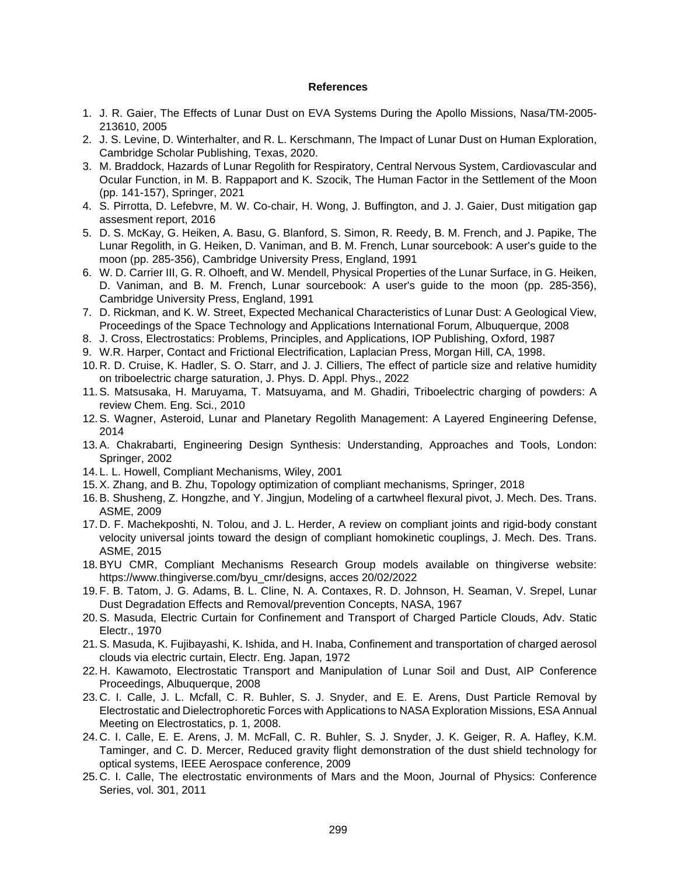#### **References**

- 1. J. R. Gaier, The Effects of Lunar Dust on EVA Systems During the Apollo Missions, Nasa/TM-2005- 213610, 2005
- 2. J. S. Levine, D. Winterhalter, and R. L. Kerschmann, The Impact of Lunar Dust on Human Exploration, Cambridge Scholar Publishing, Texas, 2020.
- 3. M. Braddock, Hazards of Lunar Regolith for Respiratory, Central Nervous System, Cardiovascular and Ocular Function, in M. B. Rappaport and K. Szocik, The Human Factor in the Settlement of the Moon (pp. 141-157), Springer, 2021
- 4. S. Pirrotta, D. Lefebvre, M. W. Co-chair, H. Wong, J. Buffington, and J. J. Gaier, Dust mitigation gap assesment report, 2016
- 5. D. S. McKay, G. Heiken, A. Basu, G. Blanford, S. Simon, R. Reedy, B. M. French, and J. Papike, The Lunar Regolith, in G. Heiken, D. Vaniman, and B. M. French, Lunar sourcebook: A user's guide to the moon (pp. 285-356), Cambridge University Press, England, 1991
- 6. W. D. Carrier III, G. R. Olhoeft, and W. Mendell, Physical Properties of the Lunar Surface, in G. Heiken, D. Vaniman, and B. M. French, Lunar sourcebook: A user's guide to the moon (pp. 285-356), Cambridge University Press, England, 1991
- 7. D. Rickman, and K. W. Street, Expected Mechanical Characteristics of Lunar Dust: A Geological View, Proceedings of the Space Technology and Applications International Forum, Albuquerque, 2008
- 8. J. Cross, Electrostatics: Problems, Principles, and Applications, IOP Publishing, Oxford, 1987
- 9. W.R. Harper, Contact and Frictional Electrification, Laplacian Press, Morgan Hill, CA, 1998.
- 10. R. D. Cruise, K. Hadler, S. O. Starr, and J. J. Cilliers, The effect of particle size and relative humidity on triboelectric charge saturation, J. Phys. D. Appl. Phys., 2022
- 11. S. Matsusaka, H. Maruyama, T. Matsuyama, and M. Ghadiri, Triboelectric charging of powders: A review Chem. Eng. Sci., 2010
- 12. S. Wagner, Asteroid, Lunar and Planetary Regolith Management: A Layered Engineering Defense, 2014
- 13. A. Chakrabarti, Engineering Design Synthesis: Understanding, Approaches and Tools, London: Springer, 2002
- 14. L. L. Howell, Compliant Mechanisms, Wiley, 2001
- 15. X. Zhang, and B. Zhu, Topology optimization of compliant mechanisms, Springer, 2018
- 16. B. Shusheng, Z. Hongzhe, and Y. Jingjun, Modeling of a cartwheel flexural pivot, J. Mech. Des. Trans. ASME, 2009
- 17. D. F. Machekposhti, N. Tolou, and J. L. Herder, A review on compliant joints and rigid-body constant velocity universal joints toward the design of compliant homokinetic couplings, J. Mech. Des. Trans. ASME, 2015
- 18. BYU CMR, Compliant Mechanisms Research Group models available on thingiverse website: https://www.thingiverse.com/byu\_cmr/designs, acces 20/02/2022
- 19. F. B. Tatom, J. G. Adams, B. L. Cline, N. A. Contaxes, R. D. Johnson, H. Seaman, V. Srepel, Lunar Dust Degradation Effects and Removal/prevention Concepts, NASA, 1967
- 20. S. Masuda, Electric Curtain for Confinement and Transport of Charged Particle Clouds, Adv. Static Electr., 1970
- 21. S. Masuda, K. Fujibayashi, K. Ishida, and H. Inaba, Confinement and transportation of charged aerosol clouds via electric curtain, Electr. Eng. Japan, 1972
- 22. H. Kawamoto, Electrostatic Transport and Manipulation of Lunar Soil and Dust, AIP Conference Proceedings, Albuquerque, 2008
- 23. C. I. Calle, J. L. Mcfall, C. R. Buhler, S. J. Snyder, and E. E. Arens, Dust Particle Removal by Electrostatic and Dielectrophoretic Forces with Applications to NASA Exploration Missions, ESA Annual Meeting on Electrostatics, p. 1, 2008.
- 24. C. I. Calle, E. E. Arens, J. M. McFall, C. R. Buhler, S. J. Snyder, J. K. Geiger, R. A. Hafley, K.M. Taminger, and C. D. Mercer, Reduced gravity flight demonstration of the dust shield technology for optical systems, IEEE Aerospace conference, 2009
- 25. C. I. Calle, The electrostatic environments of Mars and the Moon, Journal of Physics: Conference Series, vol. 301, 2011